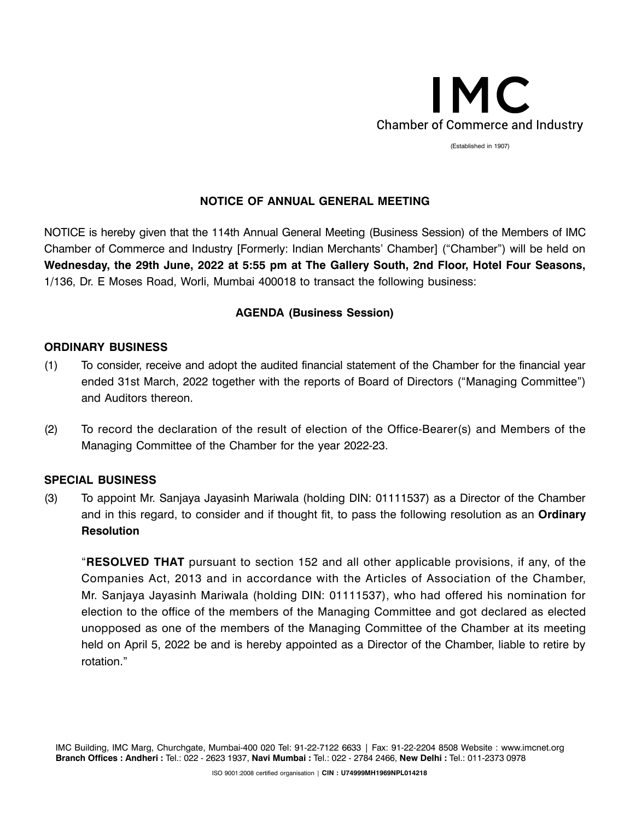

(Established in 1907)

# **NOTICE OF ANNUAL GENERAL MEETING**

NOTICE is hereby given that the 114th Annual General Meeting (Business Session) of the Members of IMC Chamber of Commerce and Industry [Formerly: Indian Merchants' Chamber] ("Chamber") will be held on **Wednesday, the 29th June, 2022 at 5:55 pm at The Gallery South, 2nd Floor, Hotel Four Seasons,**  1/136, Dr. E Moses Road, Worli, Mumbai 400018 to transact the following business:

## **AGENDA (Business Session)**

## **ORDINARY BUSINESS**

- (1) To consider, receive and adopt the audited financial statement of the Chamber for the financial year ended 31st March, 2022 together with the reports of Board of Directors ("Managing Committee") and Auditors thereon.
- (2) To record the declaration of the result of election of the Office-Bearer(s) and Members of the Managing Committee of the Chamber for the year 2022-23.

#### **SPECIAL BUSINESS**

(3) To appoint Mr. Sanjaya Jayasinh Mariwala (holding DIN: 01111537) as a Director of the Chamber and in this regard, to consider and if thought fit, to pass the following resolution as an **Ordinary Resolution**

"**RESOLVED THAT** pursuant to section 152 and all other applicable provisions, if any, of the Companies Act, 2013 and in accordance with the Articles of Association of the Chamber, Mr. Sanjaya Jayasinh Mariwala (holding DIN: 01111537), who had offered his nomination for election to the office of the members of the Managing Committee and got declared as elected unopposed as one of the members of the Managing Committee of the Chamber at its meeting held on April 5, 2022 be and is hereby appointed as a Director of the Chamber, liable to retire by rotation."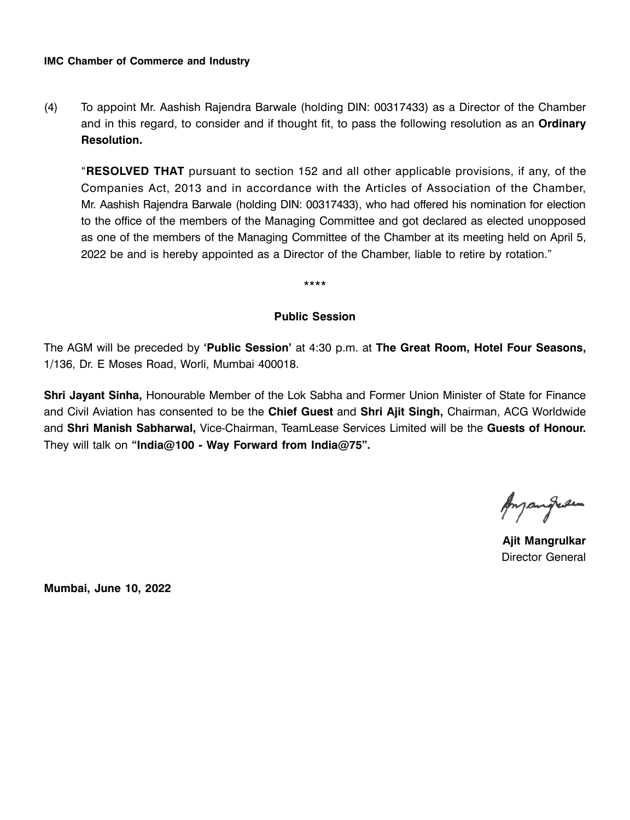(4) To appoint Mr. Aashish Rajendra Barwale (holding DIN: 00317433) as a Director of the Chamber and in this regard, to consider and if thought fit, to pass the following resolution as an **Ordinary Resolution.**

"**RESOLVED THAT** pursuant to section 152 and all other applicable provisions, if any, of the Companies Act, 2013 and in accordance with the Articles of Association of the Chamber, Mr. Aashish Rajendra Barwale (holding DIN: 00317433), who had offered his nomination for election to the office of the members of the Managing Committee and got declared as elected unopposed as one of the members of the Managing Committee of the Chamber at its meeting held on April 5, 2022 be and is hereby appointed as a Director of the Chamber, liable to retire by rotation."

# **Public Session**

\*\*\*\*

The AGM will be preceded by **'Public Session'** at 4:30 p.m. at **The Great Room, Hotel Four Seasons,**  1/136, Dr. E Moses Road, Worli, Mumbai 400018.

**Shri Jayant Sinha,** Honourable Member of the Lok Sabha and Former Union Minister of State for Finance and Civil Aviation has consented to be the **Chief Guest** and **Shri Ajit Singh,** Chairman, ACG Worldwide and **Shri Manish Sabharwal,** Vice-Chairman, TeamLease Services Limited will be the **Guests of Honour.**  They will talk on **"India@100 - Way Forward from India@75".** 

Anyangreen

**Ajit Mangrulkar** Director General

**Mumbai, June 10, 2022**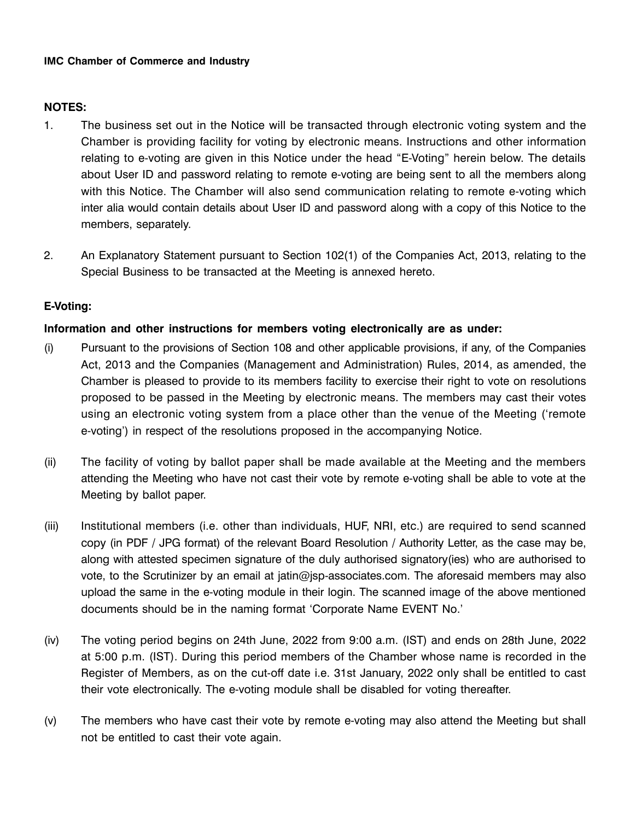# **NOTES:**

- 1. The business set out in the Notice will be transacted through electronic voting system and the Chamber is providing facility for voting by electronic means. Instructions and other information relating to e-voting are given in this Notice under the head "E-Voting" herein below. The details about User ID and password relating to remote e-voting are being sent to all the members along with this Notice. The Chamber will also send communication relating to remote e-voting which inter alia would contain details about User ID and password along with a copy of this Notice to the members, separately.
- 2. An Explanatory Statement pursuant to Section 102(1) of the Companies Act, 2013, relating to the Special Business to be transacted at the Meeting is annexed hereto.

# **E-Voting:**

# **Information and other instructions for members voting electronically are as under:**

- (i) Pursuant to the provisions of Section 108 and other applicable provisions, if any, of the Companies Act, 2013 and the Companies (Management and Administration) Rules, 2014, as amended, the Chamber is pleased to provide to its members facility to exercise their right to vote on resolutions proposed to be passed in the Meeting by electronic means. The members may cast their votes using an electronic voting system from a place other than the venue of the Meeting ('remote e-voting') in respect of the resolutions proposed in the accompanying Notice.
- (ii) The facility of voting by ballot paper shall be made available at the Meeting and the members attending the Meeting who have not cast their vote by remote e-voting shall be able to vote at the Meeting by ballot paper.
- (iii) Institutional members (i.e. other than individuals, HUF, NRI, etc.) are required to send scanned copy (in PDF / JPG format) of the relevant Board Resolution / Authority Letter, as the case may be, along with attested specimen signature of the duly authorised signatory(ies) who are authorised to vote, to the Scrutinizer by an email at jatin@jsp-associates.com. The aforesaid members may also upload the same in the e-voting module in their login. The scanned image of the above mentioned documents should be in the naming format 'Corporate Name EVENT No.'
- (iv) The voting period begins on 24th June, 2022 from 9:00 a.m. (IST) and ends on 28th June, 2022 at 5:00 p.m. (IST). During this period members of the Chamber whose name is recorded in the Register of Members, as on the cut-off date i.e. 31st January, 2022 only shall be entitled to cast their vote electronically. The e-voting module shall be disabled for voting thereafter.
- (v) The members who have cast their vote by remote e-voting may also attend the Meeting but shall not be entitled to cast their vote again.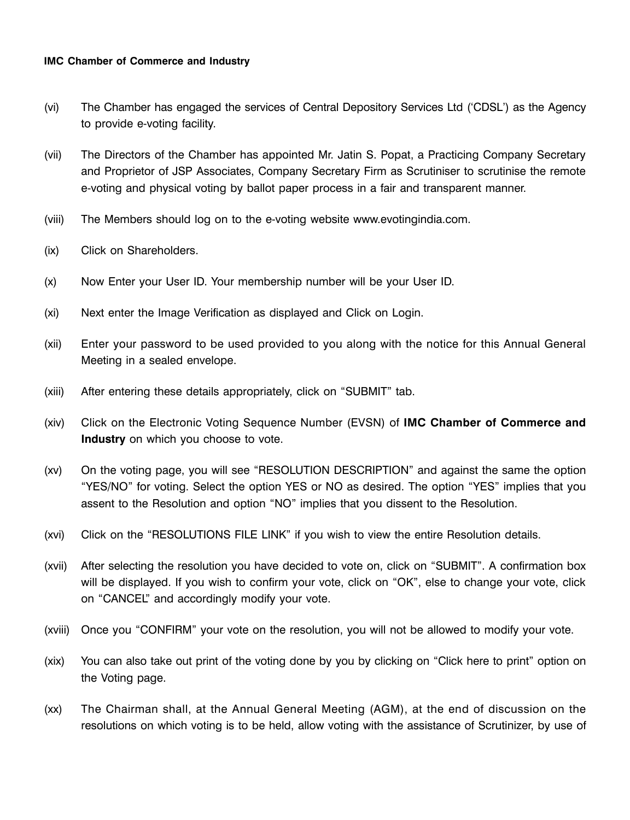- (vi) The Chamber has engaged the services of Central Depository Services Ltd ('CDSL') as the Agency to provide e-voting facility.
- (vii) The Directors of the Chamber has appointed Mr. Jatin S. Popat, a Practicing Company Secretary and Proprietor of JSP Associates, Company Secretary Firm as Scrutiniser to scrutinise the remote e-voting and physical voting by ballot paper process in a fair and transparent manner.
- (viii) The Members should log on to the e-voting website www.evotingindia.com.
- (ix) Click on Shareholders.
- (x) Now Enter your User ID. Your membership number will be your User ID.
- (xi) Next enter the Image Verification as displayed and Click on Login.
- (xii) Enter your password to be used provided to you along with the notice for this Annual General Meeting in a sealed envelope.
- (xiii) After entering these details appropriately, click on "SUBMIT" tab.
- (xiv) Click on the Electronic Voting Sequence Number (EVSN) of **IMC Chamber of Commerce and Industry** on which you choose to vote.
- (xv) On the voting page, you will see "RESOLUTION DESCRIPTION" and against the same the option "YES/NO" for voting. Select the option YES or NO as desired. The option "YES" implies that you assent to the Resolution and option "NO" implies that you dissent to the Resolution.
- (xvi) Click on the "RESOLUTIONS FILE LINK" if you wish to view the entire Resolution details.
- (xvii) After selecting the resolution you have decided to vote on, click on "SUBMIT". A confirmation box will be displayed. If you wish to confirm your vote, click on "OK", else to change your vote, click on "CANCEL" and accordingly modify your vote.
- (xviii) Once you "CONFIRM" your vote on the resolution, you will not be allowed to modify your vote.
- (xix) You can also take out print of the voting done by you by clicking on "Click here to print" option on the Voting page.
- (xx) The Chairman shall, at the Annual General Meeting (AGM), at the end of discussion on the resolutions on which voting is to be held, allow voting with the assistance of Scrutinizer, by use of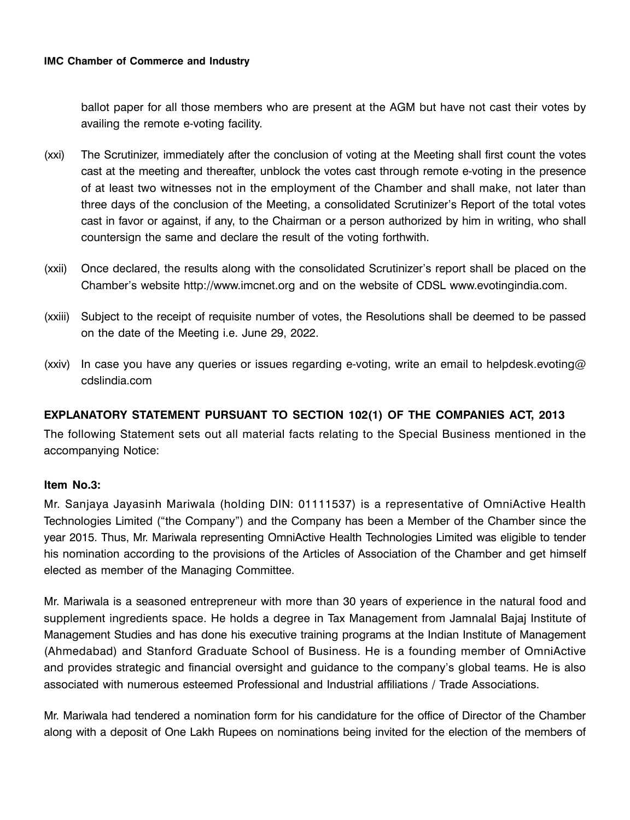ballot paper for all those members who are present at the AGM but have not cast their votes by availing the remote e-voting facility.

- (xxi) The Scrutinizer, immediately after the conclusion of voting at the Meeting shall first count the votes cast at the meeting and thereafter, unblock the votes cast through remote e-voting in the presence of at least two witnesses not in the employment of the Chamber and shall make, not later than three days of the conclusion of the Meeting, a consolidated Scrutinizer's Report of the total votes cast in favor or against, if any, to the Chairman or a person authorized by him in writing, who shall countersign the same and declare the result of the voting forthwith.
- (xxii) Once declared, the results along with the consolidated Scrutinizer's report shall be placed on the Chamber's website http://www.imcnet.org and on the website of CDSL www.evotingindia.com.
- (xxiii) Subject to the receipt of requisite number of votes, the Resolutions shall be deemed to be passed on the date of the Meeting i.e. June 29, 2022.
- (xxiv) In case you have any queries or issues regarding e-voting, write an email to helpdesk.evoting@ cdslindia.com

# **EXPLANATORY STATEMENT PURSUANT TO SECTION 102(1) OF THE COMPANIES ACT, 2013**

The following Statement sets out all material facts relating to the Special Business mentioned in the accompanying Notice:

#### **Item No.3:**

Mr. Sanjaya Jayasinh Mariwala (holding DIN: 01111537) is a representative of OmniActive Health Technologies Limited ("the Company") and the Company has been a Member of the Chamber since the year 2015. Thus, Mr. Mariwala representing OmniActive Health Technologies Limited was eligible to tender his nomination according to the provisions of the Articles of Association of the Chamber and get himself elected as member of the Managing Committee.

Mr. Mariwala is a seasoned entrepreneur with more than 30 years of experience in the natural food and supplement ingredients space. He holds a degree in Tax Management from Jamnalal Bajaj Institute of Management Studies and has done his executive training programs at the Indian Institute of Management (Ahmedabad) and Stanford Graduate School of Business. He is a founding member of OmniActive and provides strategic and financial oversight and guidance to the company's global teams. He is also associated with numerous esteemed Professional and Industrial affiliations / Trade Associations.

Mr. Mariwala had tendered a nomination form for his candidature for the office of Director of the Chamber along with a deposit of One Lakh Rupees on nominations being invited for the election of the members of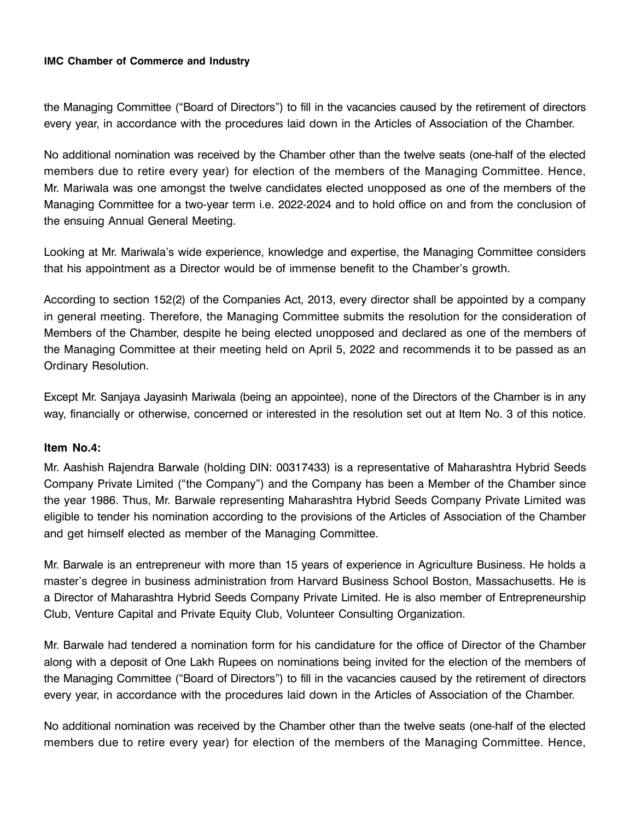the Managing Committee ("Board of Directors") to fill in the vacancies caused by the retirement of directors every year, in accordance with the procedures laid down in the Articles of Association of the Chamber.

No additional nomination was received by the Chamber other than the twelve seats (one-half of the elected members due to retire every year) for election of the members of the Managing Committee. Hence, Mr. Mariwala was one amongst the twelve candidates elected unopposed as one of the members of the Managing Committee for a two-year term i.e. 2022-2024 and to hold office on and from the conclusion of the ensuing Annual General Meeting.

Looking at Mr. Mariwala's wide experience, knowledge and expertise, the Managing Committee considers that his appointment as a Director would be of immense benefit to the Chamber's growth.

According to section 152(2) of the Companies Act, 2013, every director shall be appointed by a company in general meeting. Therefore, the Managing Committee submits the resolution for the consideration of Members of the Chamber, despite he being elected unopposed and declared as one of the members of the Managing Committee at their meeting held on April 5, 2022 and recommends it to be passed as an Ordinary Resolution.

Except Mr. Sanjaya Jayasinh Mariwala (being an appointee), none of the Directors of the Chamber is in any way, financially or otherwise, concerned or interested in the resolution set out at Item No. 3 of this notice.

#### **Item No.4:**

Mr. Aashish Rajendra Barwale (holding DIN: 00317433) is a representative of Maharashtra Hybrid Seeds Company Private Limited ("the Company") and the Company has been a Member of the Chamber since the year 1986. Thus, Mr. Barwale representing Maharashtra Hybrid Seeds Company Private Limited was eligible to tender his nomination according to the provisions of the Articles of Association of the Chamber and get himself elected as member of the Managing Committee.

Mr. Barwale is an entrepreneur with more than 15 years of experience in Agriculture Business. He holds a master's degree in business administration from Harvard Business School Boston, Massachusetts. He is a Director of Maharashtra Hybrid Seeds Company Private Limited. He is also member of Entrepreneurship Club, Venture Capital and Private Equity Club, Volunteer Consulting Organization.

Mr. Barwale had tendered a nomination form for his candidature for the office of Director of the Chamber along with a deposit of One Lakh Rupees on nominations being invited for the election of the members of the Managing Committee ("Board of Directors") to fill in the vacancies caused by the retirement of directors every year, in accordance with the procedures laid down in the Articles of Association of the Chamber.

No additional nomination was received by the Chamber other than the twelve seats (one-half of the elected members due to retire every year) for election of the members of the Managing Committee. Hence,